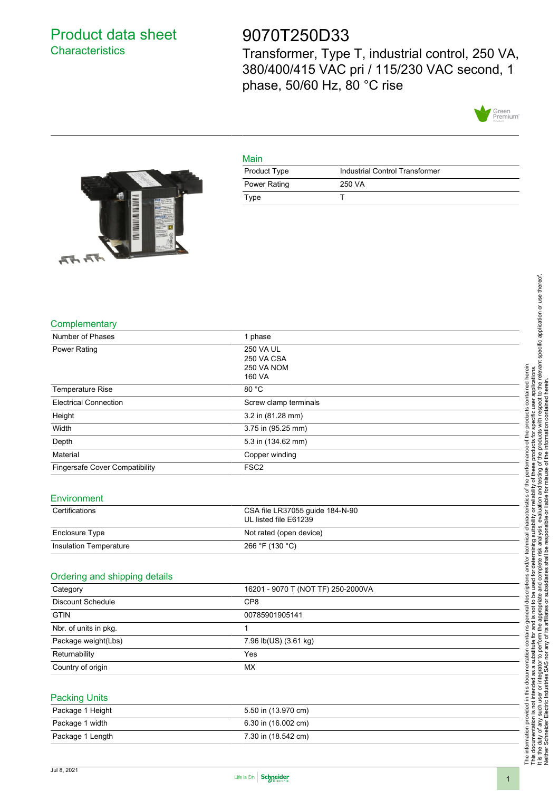### Product data sheet **Characteristics**

## 9070T250D33

Transformer, Type T, industrial control, 250 VA, 380/400/415 VAC pri / 115/230 VAC second, 1 phase, 50/60 Hz, 80 °C rise



# ENDANNA MARKANA IN P Ξ  $\pi$  $\pi$

| Main         |                                |  |
|--------------|--------------------------------|--|
| Product Type | Industrial Control Transformer |  |
| Power Rating | 250 VA                         |  |
| Type         |                                |  |



| Number of Phases               | 1 phase                                                  |  |  |
|--------------------------------|----------------------------------------------------------|--|--|
| <b>Power Rating</b>            | 250 VA UL<br>250 VA CSA<br>250 VA NOM<br>160 VA          |  |  |
| Temperature Rise               | 80 °C                                                    |  |  |
| <b>Electrical Connection</b>   | Screw clamp terminals                                    |  |  |
| Height                         | 3.2 in (81.28 mm)                                        |  |  |
| Width                          | 3.75 in (95.25 mm)                                       |  |  |
| Depth                          | 5.3 in (134.62 mm)                                       |  |  |
| Material                       | Copper winding                                           |  |  |
| Fingersafe Cover Compatibility | FSC <sub>2</sub>                                         |  |  |
| Environment                    |                                                          |  |  |
| Certifications                 | CSA file LR37055 guide 184-N-90<br>UL listed file E61239 |  |  |
| Enclosure Type                 | Not rated (open device)                                  |  |  |
| Insulation Temperature         | 266 °F (130 °C)                                          |  |  |
| Ordering and shipping details  |                                                          |  |  |
| Category                       | 16201 - 9070 T (NOT TF) 250-2000VA                       |  |  |
| Discount Schedule              | CP <sub>8</sub>                                          |  |  |
| <b>GTIN</b>                    | 00785901905141                                           |  |  |
| Nbr. of units in pkg.          | $\mathbf{1}$                                             |  |  |
| Package weight(Lbs)            | 7.96 lb(US) (3.61 kg)                                    |  |  |
| Returnability                  | Yes                                                      |  |  |
| Country of origin              | <b>MX</b>                                                |  |  |
| <b>Packing Units</b>           |                                                          |  |  |
| Package 1 Height               | 5.50 in (13.970 cm)                                      |  |  |



Package 1 width 6.30 in (16.002 cm) Package 1 Length 7.30 in (18.542 cm)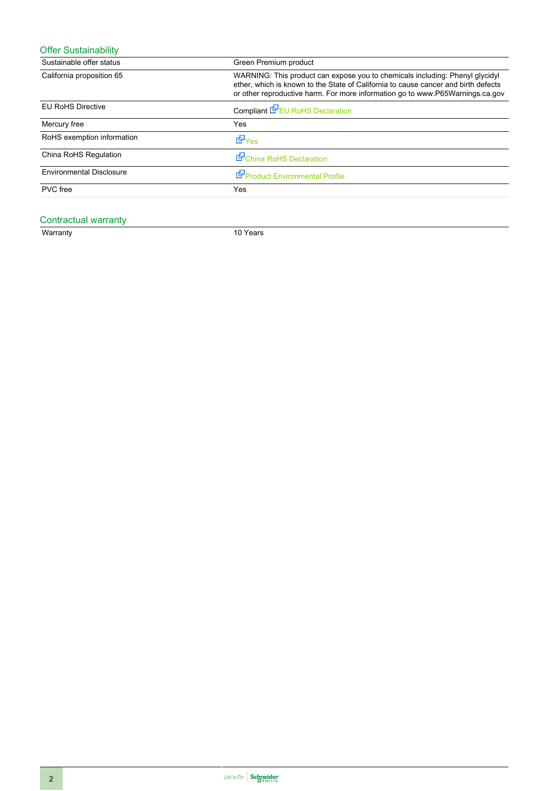| <b>Offer Sustainability</b>     |                                                                                                                                                                                                                                                     |  |
|---------------------------------|-----------------------------------------------------------------------------------------------------------------------------------------------------------------------------------------------------------------------------------------------------|--|
| Sustainable offer status        | Green Premium product                                                                                                                                                                                                                               |  |
| California proposition 65       | WARNING: This product can expose you to chemicals including: Phenyl glycidyl<br>ether, which is known to the State of California to cause cancer and birth defects<br>or other reproductive harm. For more information go to www.P65Warnings.ca.gov |  |
| <b>EU RoHS Directive</b>        | Compliant <b>E</b> U RoHS Declaration                                                                                                                                                                                                               |  |
| Mercury free                    | Yes                                                                                                                                                                                                                                                 |  |
| RoHS exemption information      | L <sup>o</sup> Yes                                                                                                                                                                                                                                  |  |
| China RoHS Regulation           | China RoHS Declaration                                                                                                                                                                                                                              |  |
| <b>Environmental Disclosure</b> | Product Environmental Profile                                                                                                                                                                                                                       |  |
| PVC free                        | Yes                                                                                                                                                                                                                                                 |  |

#### Contractual warranty

Warranty 10 Years 10 Years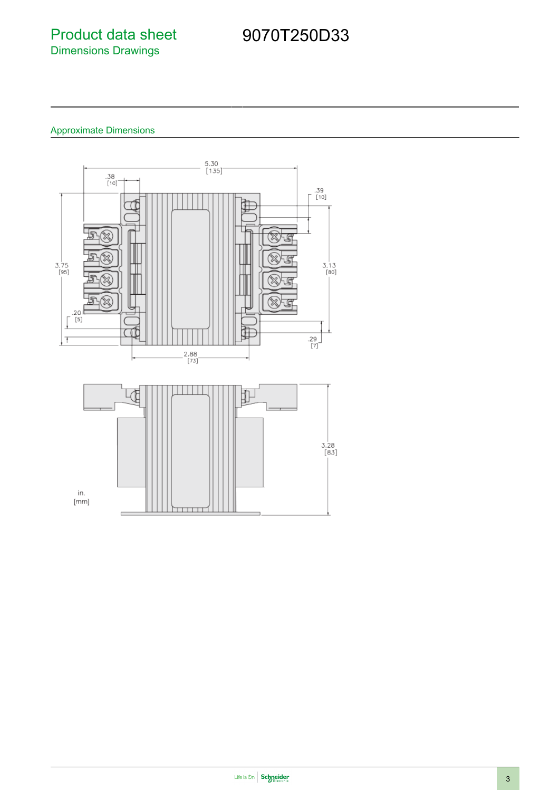### Product data sheet Dimensions Drawings

# 9070T250D33

### Approximate Dimensions